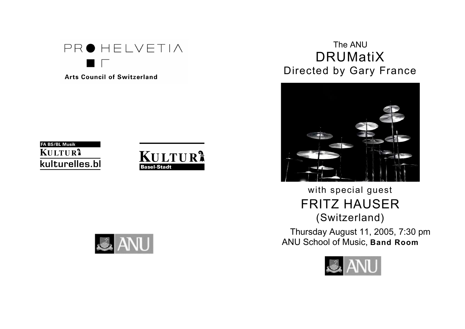PROHELVETIA

**Arts Council of Switzerland** 







# The ANU DRUMatiX Directed by Gary France



# with special guest FRITZ HAUSER (Switzerland)

Thursday August 11, 2005, 7:30 pm ANU School of Music, **Band Room**

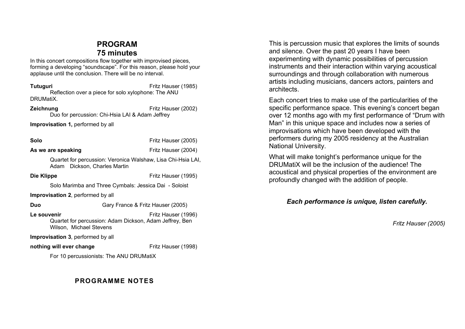## **PROGRAM 75 minutes**

In this concert compositions flow together with improvised pieces, forming a developing "soundscape". For this reason, please hold your applause until the conclusion. There will be no interval.

**Tutuguri** Fritz Hauser (1985) Reflection over a piece for solo xylophone: The ANU DRUMatiX.

**Zeichnung Example 2002 Fritz Hauser (2002)** Duo for percussion: Chi-Hsia LAI & Adam Jeffrey

**Improvisation 1,** performed by all

**Solo** Fritz Hauser (2005)

**As we are speaking As we** are **speaking As we** are **speaking Example 2004**)

Quartet for percussion: Veronica Walshaw, Lisa Chi-Hsia LAI, Adam Dickson, Charles Martin

**Die Klippe** Fritz Hauser (1995)

Solo Marimba and Three Cymbals: Jessica Dai - Soloist

**Improvisation 2**, performed by all

**Duo** Gary France & Fritz Hauser (2005)

**Le** souvenir **Example 2018** Eritz Hauser (1996) Quartet for percussion: Adam Dickson, Adam Jeffrey, Ben Wilson, Michael Stevens

**Improvisation 3**, performed by all

**nothing will ever change** Fritz Hauser (1998)

For 10 percussionists: The ANU DRUMatiX

## **PROGRAMME NOTES**

This is percussion music that explores the limits of sounds and silence. Over the past 20 years I have been experimenting with dynamic possibilities of percussion instruments and their interaction within varying acoustical surroundings and through collaboration with numerous artists including musicians, dancers actors, painters and architects.

Each concert tries to make use of the particularities of the specific performance space. This evening's concert began over 12 months ago with my first performance of "Drum with Man" in this unique space and includes now a series of improvisations which have been developed with the performers during my 2005 residency at the Australian National University.

What will make tonight's performance unique for the DRUMatiX will be the inclusion of the audience! The acoustical and physical properties of the environment are profoundly changed with the addition of people.

### *Each performance is unique, listen carefully.*

*Fritz Hauser (2005)*